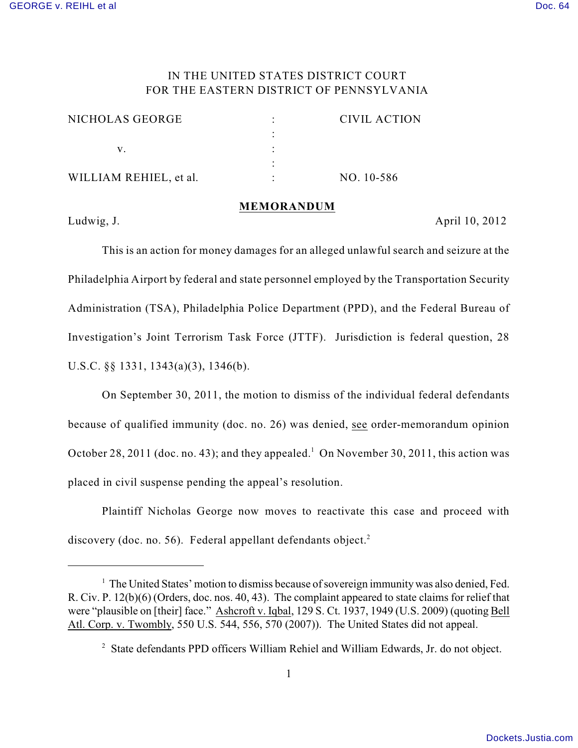## IN THE UNITED STATES DISTRICT COURT FOR THE EASTERN DISTRICT OF PENNSYLVANIA

| NICHOLAS GEORGE        | <b>CIVIL ACTION</b> |
|------------------------|---------------------|
|                        |                     |
|                        |                     |
|                        |                     |
| WILLIAM REHIEL, et al. | $NO. 10-586$        |

## **MEMORANDUM**

Ludwig, J. **April 10, 2012** 

This is an action for money damages for an alleged unlawful search and seizure at the Philadelphia Airport by federal and state personnel employed by the Transportation Security Administration (TSA), Philadelphia Police Department (PPD), and the Federal Bureau of Investigation's Joint Terrorism Task Force (JTTF). Jurisdiction is federal question, 28 U.S.C. §§ 1331, 1343(a)(3), 1346(b).

On September 30, 2011, the motion to dismiss of the individual federal defendants because of qualified immunity (doc. no. 26) was denied, see order-memorandum opinion October 28, 2011 (doc. no. 43); and they appealed.<sup>1</sup> On November 30, 2011, this action was placed in civil suspense pending the appeal's resolution.

Plaintiff Nicholas George now moves to reactivate this case and proceed with discovery (doc. no. 56). Federal appellant defendants object. $2$ 

 $<sup>1</sup>$  The United States' motion to dismiss because of sovereign immunity was also denied, Fed.</sup> R. Civ. P. 12(b)(6) (Orders, doc. nos. 40, 43). The complaint appeared to state claims for relief that were "plausible on [their] face." Ashcroft v. Iqbal, 129 S. Ct. 1937, 1949 (U.S. 2009) (quoting Bell Atl. Corp. v. Twombly, 550 U.S. 544, 556, 570 (2007)). The United States did not appeal.

<sup>&</sup>lt;sup>2</sup> State defendants PPD officers William Rehiel and William Edwards, Jr. do not object.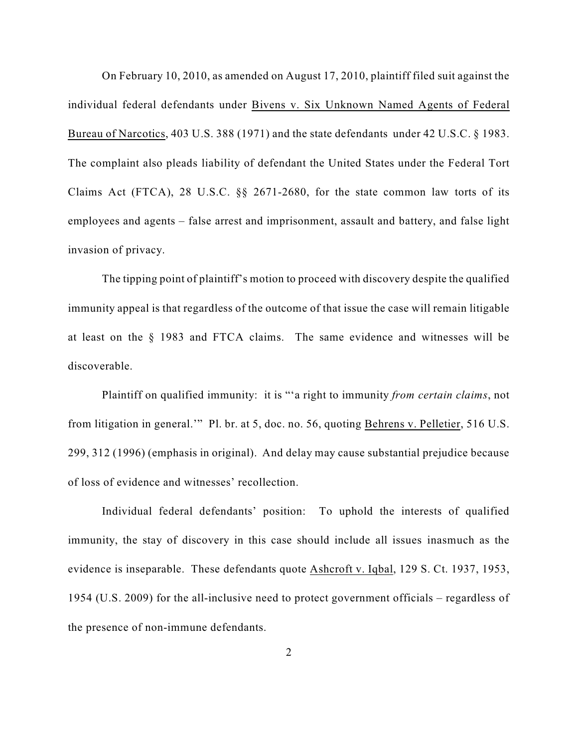On February 10, 2010, as amended on August 17, 2010, plaintiff filed suit against the individual federal defendants under Bivens v. Six Unknown Named Agents of Federal Bureau of Narcotics, 403 U.S. 388 (1971) and the state defendants under 42 U.S.C. § 1983. The complaint also pleads liability of defendant the United States under the Federal Tort Claims Act (FTCA), 28 U.S.C. §§ 2671-2680, for the state common law torts of its employees and agents – false arrest and imprisonment, assault and battery, and false light invasion of privacy.

The tipping point of plaintiff's motion to proceed with discovery despite the qualified immunity appeal is that regardless of the outcome of that issue the case will remain litigable at least on the § 1983 and FTCA claims. The same evidence and witnesses will be discoverable.

Plaintiff on qualified immunity: it is "'a right to immunity *from certain claims*, not from litigation in general.'" Pl. br. at 5, doc. no. 56, quoting Behrens v. Pelletier, 516 U.S. 299, 312 (1996) (emphasis in original). And delay may cause substantial prejudice because of loss of evidence and witnesses' recollection.

Individual federal defendants' position: To uphold the interests of qualified immunity, the stay of discovery in this case should include all issues inasmuch as the evidence is inseparable. These defendants quote Ashcroft v. Iqbal, 129 S. Ct. 1937, 1953, 1954 (U.S. 2009) for the all-inclusive need to protect government officials – regardless of the presence of non-immune defendants.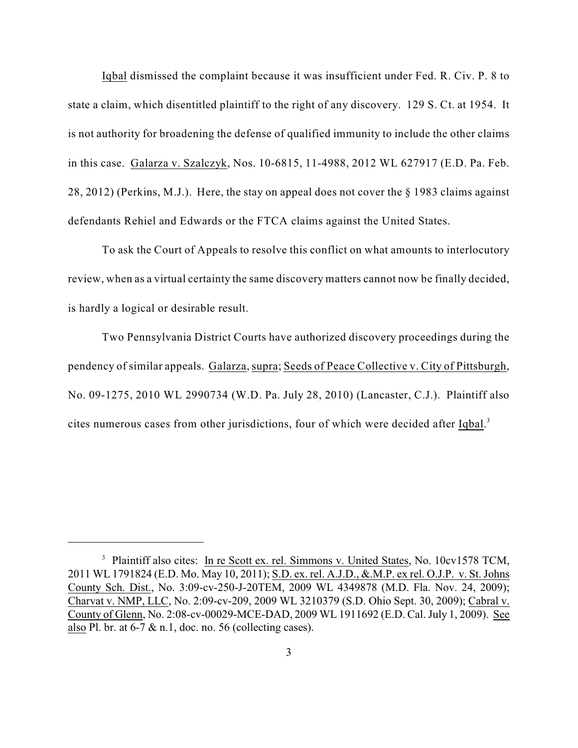Iqbal dismissed the complaint because it was insufficient under Fed. R. Civ. P. 8 to state a claim, which disentitled plaintiff to the right of any discovery. 129 S. Ct. at 1954. It is not authority for broadening the defense of qualified immunity to include the other claims in this case. Galarza v. Szalczyk, Nos. 10-6815, 11-4988, 2012 WL 627917 (E.D. Pa. Feb. 28, 2012) (Perkins, M.J.). Here, the stay on appeal does not cover the § 1983 claims against defendants Rehiel and Edwards or the FTCA claims against the United States.

To ask the Court of Appeals to resolve this conflict on what amounts to interlocutory review, when as a virtual certainty the same discovery matters cannot now be finally decided, is hardly a logical or desirable result.

Two Pennsylvania District Courts have authorized discovery proceedings during the pendency of similar appeals. Galarza, supra; Seeds of Peace Collective v. City of Pittsburgh, No. 09-1275, 2010 WL 2990734 (W.D. Pa. July 28, 2010) (Lancaster, C.J.). Plaintiff also cites numerous cases from other jurisdictions, four of which were decided after Iqbal.<sup>3</sup>

<sup>&</sup>lt;sup>3</sup> Plaintiff also cites: In re Scott ex. rel. Simmons v. United States, No. 10cv1578 TCM, 2011 WL 1791824 (E.D. Mo. May 10, 2011); S.D. ex. rel. A.J.D., &.M.P. ex rel. O.J.P. v. St. Johns County Sch. Dist., No. 3:09-cv-250-J-20TEM, 2009 WL 4349878 (M.D. Fla. Nov. 24, 2009); Charvat v. NMP, LLC, No. 2:09-cv-209, 2009 WL 3210379 (S.D. Ohio Sept. 30, 2009); Cabral v. County of Glenn, No. 2:08-cv-00029-MCE-DAD, 2009 WL 1911692 (E.D. Cal. July 1, 2009). See also Pl. br. at 6-7 & n.1, doc. no. 56 (collecting cases).